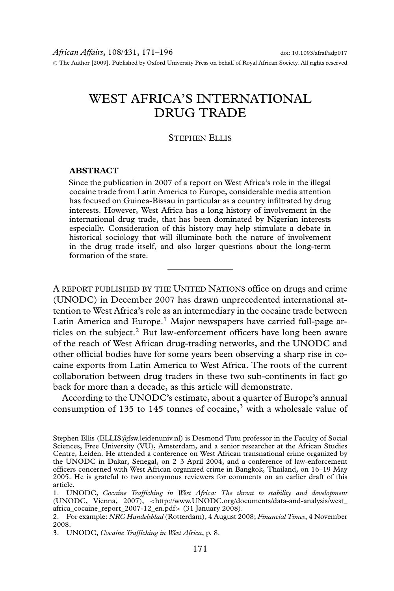-<sup>C</sup> The Author [2009]. Published by Oxford University Press on behalf of Royal African Society. All rights reserved

# WEST AFRICA'S INTERNATIONAL DRUG TRADE

## STEPHEN ELLIS

# **ABSTRACT**

Since the publication in 2007 of a report on West Africa's role in the illegal cocaine trade from Latin America to Europe, considerable media attention has focused on Guinea-Bissau in particular as a country infiltrated by drug interests. However, West Africa has a long history of involvement in the international drug trade, that has been dominated by Nigerian interests especially. Consideration of this history may help stimulate a debate in historical sociology that will illuminate both the nature of involvement in the drug trade itself, and also larger questions about the long-term formation of the state.

A REPORT PUBLISHED BY THE UNITED NATIONS office on drugs and crime (UNODC) in December 2007 has drawn unprecedented international attention to West Africa's role as an intermediary in the cocaine trade between Latin America and Europe.<sup>1</sup> Major newspapers have carried full-page articles on the subject.<sup>2</sup> But law-enforcement officers have long been aware of the reach of West African drug-trading networks, and the UNODC and other official bodies have for some years been observing a sharp rise in cocaine exports from Latin America to West Africa. The roots of the current collaboration between drug traders in these two sub-continents in fact go back for more than a decade, as this article will demonstrate.

According to the UNODC's estimate, about a quarter of Europe's annual consumption of 135 to 145 tonnes of cocaine,<sup>3</sup> with a wholesale value of

Stephen Ellis (ELLIS@fsw.leidenuniv.nl) is Desmond Tutu professor in the Faculty of Social Sciences, Free University (VU), Amsterdam, and a senior researcher at the African Studies Centre, Leiden. He attended a conference on West African transnational crime organized by the UNODC in Dakar, Senegal, on 2–3 April 2004, and a conference of law-enforcement officers concerned with West African organized crime in Bangkok, Thailand, on 16–19 May 2005. He is grateful to two anonymous reviewers for comments on an earlier draft of this article.

<sup>1.</sup> UNODC, *Cocaine Trafficking in West Africa: The threat to stability and development* (UNODC, Vienna, 2007), <http://www.UNODC.org/documents/data-and-analysis/west\_ africa\_cocaine\_report\_2007-12\_en.pdf> (31 January 2008).

<sup>2.</sup> For example: *NRC Handelsblad* (Rotterdam), 4 August 2008; *Financial Times*, 4 November 2008.

<sup>3.</sup> UNODC, *Cocaine Trafficking in West Africa*, p. 8.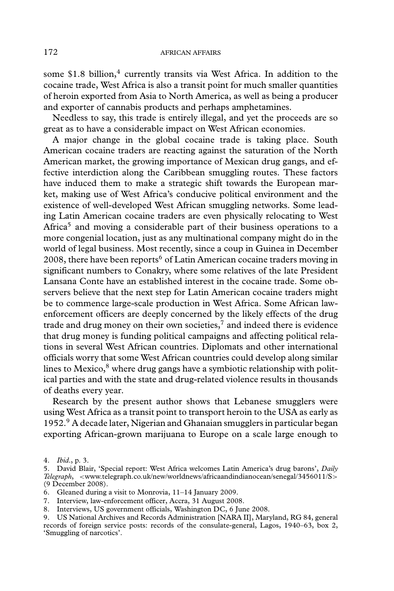some  $$1.8$  billion,<sup>4</sup> currently transits via West Africa. In addition to the cocaine trade, West Africa is also a transit point for much smaller quantities of heroin exported from Asia to North America, as well as being a producer and exporter of cannabis products and perhaps amphetamines.

Needless to say, this trade is entirely illegal, and yet the proceeds are so great as to have a considerable impact on West African economies.

A major change in the global cocaine trade is taking place. South American cocaine traders are reacting against the saturation of the North American market, the growing importance of Mexican drug gangs, and effective interdiction along the Caribbean smuggling routes. These factors have induced them to make a strategic shift towards the European market, making use of West Africa's conducive political environment and the existence of well-developed West African smuggling networks. Some leading Latin American cocaine traders are even physically relocating to West Africa<sup>5</sup> and moving a considerable part of their business operations to a more congenial location, just as any multinational company might do in the world of legal business. Most recently, since a coup in Guinea in December 2008, there have been reports<sup>6</sup> of Latin American cocaine traders moving in significant numbers to Conakry, where some relatives of the late President Lansana Conte have an established interest in the cocaine trade. Some observers believe that the next step for Latin American cocaine traders might be to commence large-scale production in West Africa. Some African lawenforcement officers are deeply concerned by the likely effects of the drug trade and drug money on their own societies, $<sup>7</sup>$  and indeed there is evidence</sup> that drug money is funding political campaigns and affecting political relations in several West African countries. Diplomats and other international officials worry that some West African countries could develop along similar lines to Mexico, $8$  where drug gangs have a symbiotic relationship with political parties and with the state and drug-related violence results in thousands of deaths every year.

Research by the present author shows that Lebanese smugglers were using West Africa as a transit point to transport heroin to the USA as early as 1952.<sup>9</sup> A decade later, Nigerian and Ghanaian smugglers in particular began exporting African-grown marijuana to Europe on a scale large enough to

<sup>4.</sup> *Ibid*., p. 3.

<sup>5.</sup> David Blair, 'Special report: West Africa welcomes Latin America's drug barons', *Daily Telegraph*, <www.telegraph.co.uk/new/worldnews/africaandindianocean/senegal/3456011/S> (9 December 2008).

<sup>6.</sup> Gleaned during a visit to Monrovia, 11–14 January 2009.

<sup>7.</sup> Interview, law-enforcement officer, Accra, 31 August 2008.

<sup>8.</sup> Interviews, US government officials, Washington DC, 6 June 2008.

<sup>9.</sup> US National Archives and Records Administration [NARA II], Maryland, RG 84, general records of foreign service posts: records of the consulate-general, Lagos, 1940–63, box 2, 'Smuggling of narcotics'.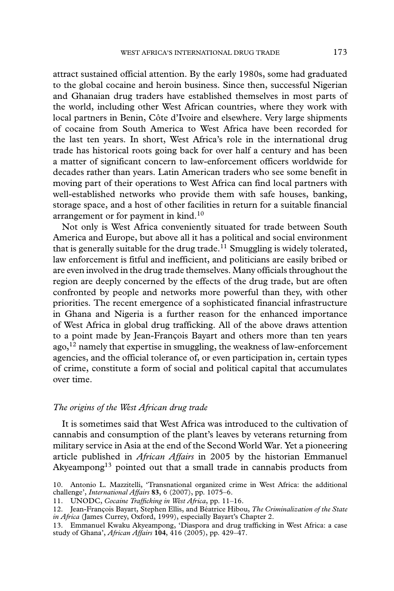attract sustained official attention. By the early 1980s, some had graduated to the global cocaine and heroin business. Since then, successful Nigerian and Ghanaian drug traders have established themselves in most parts of the world, including other West African countries, where they work with local partners in Benin, Côte d'Ivoire and elsewhere. Very large shipments of cocaine from South America to West Africa have been recorded for the last ten years. In short, West Africa's role in the international drug trade has historical roots going back for over half a century and has been a matter of significant concern to law-enforcement officers worldwide for decades rather than years. Latin American traders who see some benefit in moving part of their operations to West Africa can find local partners with well-established networks who provide them with safe houses, banking, storage space, and a host of other facilities in return for a suitable financial arrangement or for payment in kind.<sup>10</sup>

Not only is West Africa conveniently situated for trade between South America and Europe, but above all it has a political and social environment that is generally suitable for the drug trade.<sup>11</sup> Smuggling is widely tolerated, law enforcement is fitful and inefficient, and politicians are easily bribed or are even involved in the drug trade themselves. Many officials throughout the region are deeply concerned by the effects of the drug trade, but are often confronted by people and networks more powerful than they, with other priorities. The recent emergence of a sophisticated financial infrastructure in Ghana and Nigeria is a further reason for the enhanced importance of West Africa in global drug trafficking. All of the above draws attention to a point made by Jean-Francois Bayart and others more than ten years ago,  $12$  namely that expertise in smuggling, the weakness of law-enforcement agencies, and the official tolerance of, or even participation in, certain types of crime, constitute a form of social and political capital that accumulates over time.

## *The origins of the West African drug trade*

It is sometimes said that West Africa was introduced to the cultivation of cannabis and consumption of the plant's leaves by veterans returning from military service in Asia at the end of the Second World War. Yet a pioneering article published in *African Affairs* in 2005 by the historian Emmanuel Akyeampong<sup>13</sup> pointed out that a small trade in cannabis products from

<sup>10.</sup> Antonio L. Mazzitelli, 'Transnational organized crime in West Africa: the additional challenge', *International Affairs* **83**, 6 (2007), pp. 1075–6.

<sup>11.</sup> UNODC, *Cocaine Trafficking in West Africa*, pp. 11–16.

<sup>12.</sup> Jean-François Bayart, Stephen Ellis, and Béatrice Hibou, *The Criminalization of the State in Africa* (James Currey, Oxford, 1999), especially Bayart's Chapter 2.

<sup>13.</sup> Emmanuel Kwaku Akyeampong, 'Diaspora and drug trafficking in West Africa: a case study of Ghana', *African Affairs* **104**, 416 (2005), pp. 429–47.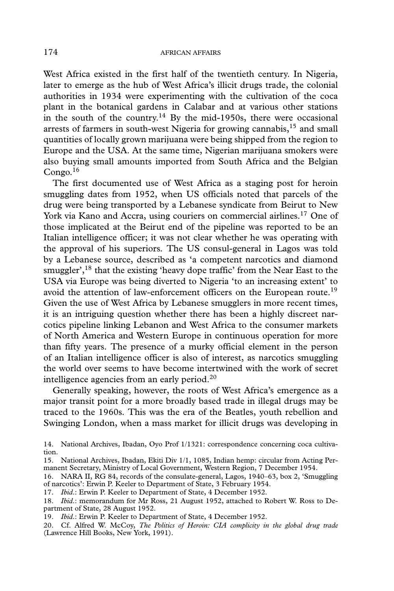#### 174 **AFRICAN AFFAIRS**

West Africa existed in the first half of the twentieth century. In Nigeria, later to emerge as the hub of West Africa's illicit drugs trade, the colonial authorities in 1934 were experimenting with the cultivation of the coca plant in the botanical gardens in Calabar and at various other stations in the south of the country.<sup>14</sup> By the mid-1950s, there were occasional arrests of farmers in south-west Nigeria for growing cannabis, $1<sup>5</sup>$  and small quantities of locally grown marijuana were being shipped from the region to Europe and the USA. At the same time, Nigerian marijuana smokers were also buying small amounts imported from South Africa and the Belgian Congo. $16$ 

The first documented use of West Africa as a staging post for heroin smuggling dates from 1952, when US officials noted that parcels of the drug were being transported by a Lebanese syndicate from Beirut to New York via Kano and Accra, using couriers on commercial airlines.<sup>17</sup> One of those implicated at the Beirut end of the pipeline was reported to be an Italian intelligence officer; it was not clear whether he was operating with the approval of his superiors. The US consul-general in Lagos was told by a Lebanese source, described as 'a competent narcotics and diamond smuggler',<sup>18</sup> that the existing 'heavy dope traffic' from the Near East to the USA via Europe was being diverted to Nigeria 'to an increasing extent' to avoid the attention of law-enforcement officers on the European route.<sup>19</sup> Given the use of West Africa by Lebanese smugglers in more recent times, it is an intriguing question whether there has been a highly discreet narcotics pipeline linking Lebanon and West Africa to the consumer markets of North America and Western Europe in continuous operation for more than fifty years. The presence of a murky official element in the person of an Italian intelligence officer is also of interest, as narcotics smuggling the world over seems to have become intertwined with the work of secret intelligence agencies from an early period.20

Generally speaking, however, the roots of West Africa's emergence as a major transit point for a more broadly based trade in illegal drugs may be traced to the 1960s. This was the era of the Beatles, youth rebellion and Swinging London, when a mass market for illicit drugs was developing in

<sup>14.</sup> National Archives, Ibadan, Oyo Prof 1/1321: correspondence concerning coca cultivation.

<sup>15.</sup> National Archives, Ibadan, Ekiti Div 1/1, 1085, Indian hemp: circular from Acting Permanent Secretary, Ministry of Local Government, Western Region, 7 December 1954.

<sup>16.</sup> NARA II, RG 84, records of the consulate-general, Lagos, 1940–63, box 2, 'Smuggling of narcotics': Erwin P. Keeler to Department of State, 3 February 1954.

<sup>17.</sup> *Ibid*.: Erwin P. Keeler to Department of State, 4 December 1952.

<sup>18.</sup> *Ibid*.: memorandum for Mr Ross, 21 August 1952, attached to Robert W. Ross to Department of State, 28 August 1952.

<sup>19.</sup> *Ibid*.: Erwin P. Keeler to Department of State, 4 December 1952.

<sup>20.</sup> Cf. Alfred W. McCoy, *The Politics of Heroin: CIA complicity in the global drug trade* (Lawrence Hill Books, New York, 1991).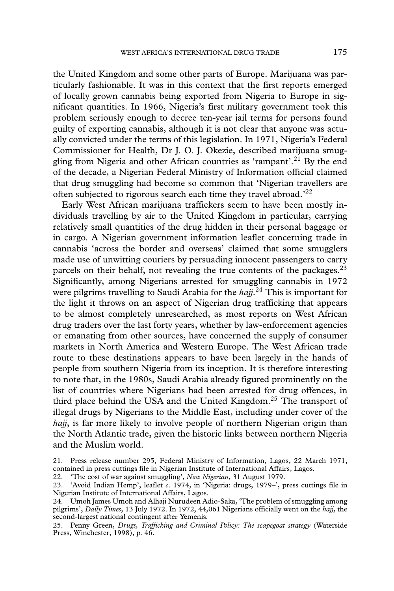the United Kingdom and some other parts of Europe. Marijuana was particularly fashionable. It was in this context that the first reports emerged of locally grown cannabis being exported from Nigeria to Europe in significant quantities. In 1966, Nigeria's first military government took this problem seriously enough to decree ten-year jail terms for persons found guilty of exporting cannabis, although it is not clear that anyone was actually convicted under the terms of this legislation. In 1971, Nigeria's Federal Commissioner for Health, Dr J. O. J. Okezie, described marijuana smuggling from Nigeria and other African countries as 'rampant'.<sup>21</sup> By the end of the decade, a Nigerian Federal Ministry of Information official claimed that drug smuggling had become so common that 'Nigerian travellers are often subjected to rigorous search each time they travel abroad.'22

Early West African marijuana traffickers seem to have been mostly individuals travelling by air to the United Kingdom in particular, carrying relatively small quantities of the drug hidden in their personal baggage or in cargo. A Nigerian government information leaflet concerning trade in cannabis 'across the border and overseas' claimed that some smugglers made use of unwitting couriers by persuading innocent passengers to carry parcels on their behalf, not revealing the true contents of the packages. $^{23}$ Significantly, among Nigerians arrested for smuggling cannabis in 1972 were pilgrims travelling to Saudi Arabia for the *hajj*. <sup>24</sup> This is important for the light it throws on an aspect of Nigerian drug trafficking that appears to be almost completely unresearched, as most reports on West African drug traders over the last forty years, whether by law-enforcement agencies or emanating from other sources, have concerned the supply of consumer markets in North America and Western Europe. The West African trade route to these destinations appears to have been largely in the hands of people from southern Nigeria from its inception. It is therefore interesting to note that, in the 1980s, Saudi Arabia already figured prominently on the list of countries where Nigerians had been arrested for drug offences, in third place behind the USA and the United Kingdom.<sup>25</sup> The transport of illegal drugs by Nigerians to the Middle East, including under cover of the *hajj*, is far more likely to involve people of northern Nigerian origin than the North Atlantic trade, given the historic links between northern Nigeria and the Muslim world.

<sup>21.</sup> Press release number 295, Federal Ministry of Information, Lagos, 22 March 1971, contained in press cuttings file in Nigerian Institute of International Affairs, Lagos.

<sup>22. &#</sup>x27;The cost of war against smuggling', *New Nigerian*, 31 August 1979.

<sup>23. &#</sup>x27;Avoid Indian Hemp', leaflet *c*. 1974, in 'Nigeria: drugs, 1979–', press cuttings file in Nigerian Institute of International Affairs, Lagos.

<sup>24.</sup> Umoh James Umoh and Alhaji Nurudeen Adio-Saka, 'The problem of smuggling among pilgrims', *Daily Times*, 13 July 1972. In 1972, 44,061 Nigerians officially went on the *hajj*, the second-largest national contingent after Yemenis.

<sup>25.</sup> Penny Green, *Drugs, Trafficking and Criminal Policy: The scapegoat strategy* (Waterside Press, Winchester, 1998), p. 46.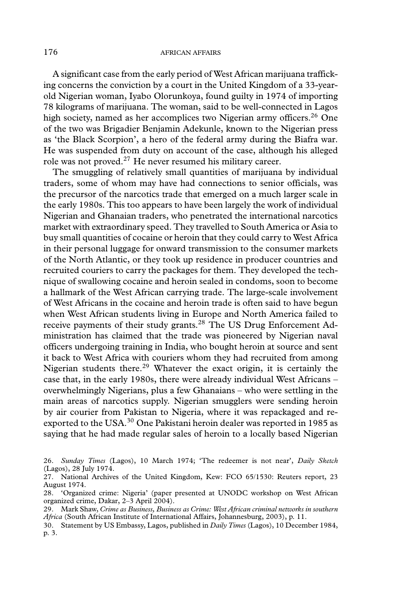#### 176 **AFRICAN AFFAIRS**

A significant case from the early period of West African marijuana trafficking concerns the conviction by a court in the United Kingdom of a 33-yearold Nigerian woman, Iyabo Olorunkoya, found guilty in 1974 of importing 78 kilograms of marijuana. The woman, said to be well-connected in Lagos high society, named as her accomplices two Nigerian army officers.<sup>26</sup> One of the two was Brigadier Benjamin Adekunle, known to the Nigerian press as 'the Black Scorpion', a hero of the federal army during the Biafra war. He was suspended from duty on account of the case, although his alleged role was not proved.<sup>27</sup> He never resumed his military career.

The smuggling of relatively small quantities of marijuana by individual traders, some of whom may have had connections to senior officials, was the precursor of the narcotics trade that emerged on a much larger scale in the early 1980s. This too appears to have been largely the work of individual Nigerian and Ghanaian traders, who penetrated the international narcotics market with extraordinary speed. They travelled to South America or Asia to buy small quantities of cocaine or heroin that they could carry to West Africa in their personal luggage for onward transmission to the consumer markets of the North Atlantic, or they took up residence in producer countries and recruited couriers to carry the packages for them. They developed the technique of swallowing cocaine and heroin sealed in condoms, soon to become a hallmark of the West African carrying trade. The large-scale involvement of West Africans in the cocaine and heroin trade is often said to have begun when West African students living in Europe and North America failed to receive payments of their study grants.<sup>28</sup> The US Drug Enforcement Administration has claimed that the trade was pioneered by Nigerian naval officers undergoing training in India, who bought heroin at source and sent it back to West Africa with couriers whom they had recruited from among Nigerian students there.29 Whatever the exact origin, it is certainly the case that, in the early 1980s, there were already individual West Africans – overwhelmingly Nigerians, plus a few Ghanaians – who were settling in the main areas of narcotics supply. Nigerian smugglers were sending heroin by air courier from Pakistan to Nigeria, where it was repackaged and reexported to the USA.<sup>30</sup> One Pakistani heroin dealer was reported in 1985 as saying that he had made regular sales of heroin to a locally based Nigerian

<sup>26.</sup> *Sunday Times* (Lagos), 10 March 1974; 'The redeemer is not near', *Daily Sketch* (Lagos), 28 July 1974.

<sup>27.</sup> National Archives of the United Kingdom, Kew: FCO 65/1530: Reuters report, 23 August 1974.

<sup>28. &#</sup>x27;Organized crime: Nigeria' (paper presented at UNODC workshop on West African organized crime, Dakar, 2–3 April 2004).

<sup>29.</sup> Mark Shaw, *Crime as Business, Business as Crime: West African criminal networks in southern Africa* (South African Institute of International Affairs, Johannesburg, 2003), p. 11.

<sup>30.</sup> Statement by US Embassy, Lagos, published in *Daily Times* (Lagos), 10 December 1984, p. 3.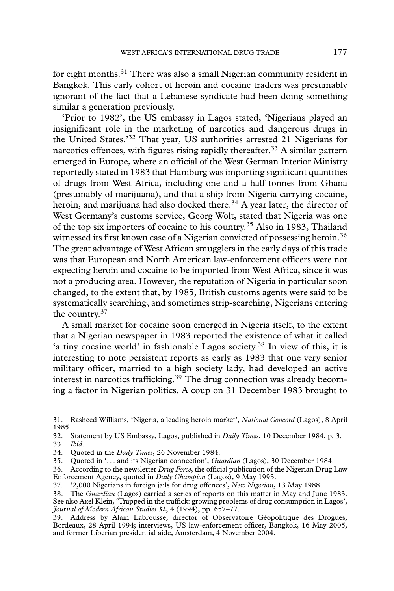for eight months.<sup>31</sup> There was also a small Nigerian community resident in Bangkok. This early cohort of heroin and cocaine traders was presumably ignorant of the fact that a Lebanese syndicate had been doing something similar a generation previously.

'Prior to 1982', the US embassy in Lagos stated, 'Nigerians played an insignificant role in the marketing of narcotics and dangerous drugs in the United States.'32 That year, US authorities arrested 21 Nigerians for narcotics offences, with figures rising rapidly thereafter.<sup>33</sup> A similar pattern emerged in Europe, where an official of the West German Interior Ministry reportedly stated in 1983 that Hamburg was importing significant quantities of drugs from West Africa, including one and a half tonnes from Ghana (presumably of marijuana), and that a ship from Nigeria carrying cocaine, heroin, and marijuana had also docked there.<sup>34</sup> A year later, the director of West Germany's customs service, Georg Wolt, stated that Nigeria was one of the top six importers of cocaine to his country.<sup>35</sup> Also in 1983, Thailand witnessed its first known case of a Nigerian convicted of possessing heroin.<sup>36</sup> The great advantage of West African smugglers in the early days of this trade was that European and North American law-enforcement officers were not expecting heroin and cocaine to be imported from West Africa, since it was not a producing area. However, the reputation of Nigeria in particular soon changed, to the extent that, by 1985, British customs agents were said to be systematically searching, and sometimes strip-searching, Nigerians entering the country.37

A small market for cocaine soon emerged in Nigeria itself, to the extent that a Nigerian newspaper in 1983 reported the existence of what it called 'a tiny cocaine world' in fashionable Lagos society.<sup>38</sup> In view of this, it is interesting to note persistent reports as early as 1983 that one very senior military officer, married to a high society lady, had developed an active interest in narcotics trafficking.<sup>39</sup> The drug connection was already becoming a factor in Nigerian politics. A coup on 31 December 1983 brought to

32. Statement by US Embassy, Lagos, published in *Daily Times*, 10 December 1984, p. 3. 33. *Ibid*.

34. Quoted in the *Daily Times*, 26 November 1984.

35. Quoted in '... and its Nigerian connection', *Guardian* (Lagos), 30 December 1984.

36. According to the newsletter *Drug Force*, the official publication of the Nigerian Drug Law Enforcement Agency, quoted in *Daily Champion* (Lagos), 9 May 1993.

37. '2,000 Nigerians in foreign jails for drug offences', *New Nigerian*, 13 May 1988.

38. The *Guardian* (Lagos) carried a series of reports on this matter in May and June 1983. See also Axel Klein, 'Trapped in the traffick: growing problems of drug consumption in Lagos', *Journal of Modern African Studies* **32**, 4 (1994), pp. 657–77.

39. Address by Alain Labrousse, director of Observatoire Geopolitique des Drogues, ´ Bordeaux, 28 April 1994; interviews, US law-enforcement officer, Bangkok, 16 May 2005, and former Liberian presidential aide, Amsterdam, 4 November 2004.

<sup>31.</sup> Rasheed Williams, 'Nigeria, a leading heroin market', *National Concord* (Lagos), 8 April 1985.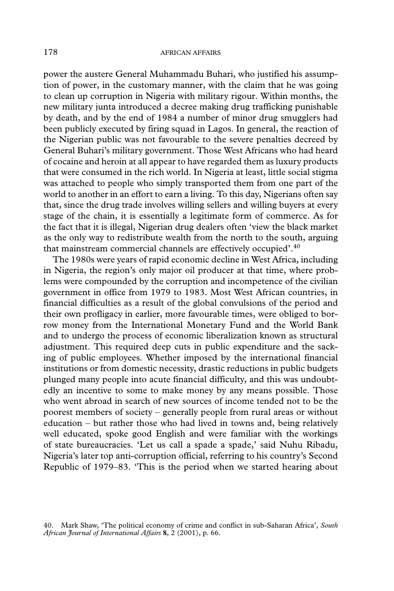power the austere General Muhammadu Buhari, who justified his assumption of power, in the customary manner, with the claim that he was going to clean up corruption in Nigeria with military rigour. Within months, the new military junta introduced a decree making drug trafficking punishable by death, and by the end of 1984 a number of minor drug smugglers had been publicly executed by firing squad in Lagos. In general, the reaction of the Nigerian public was not favourable to the severe penalties decreed by General Buhari's military government. Those West Africans who had heard of cocaine and heroin at all appear to have regarded them as luxury products that were consumed in the rich world. In Nigeria at least, little social stigma was attached to people who simply transported them from one part of the world to another in an effort to earn a living. To this day, Nigerians often say that, since the drug trade involves willing sellers and willing buyers at every stage of the chain, it is essentially a legitimate form of commerce. As for the fact that it is illegal, Nigerian drug dealers often 'view the black market as the only way to redistribute wealth from the north to the south, arguing that mainstream commercial channels are effectively occupied'.<sup>40</sup>

The 1980s were years of rapid economic decline in West Africa, including in Nigeria, the region's only major oil producer at that time, where problems were compounded by the corruption and incompetence of the civilian government in office from 1979 to 1983. Most West African countries, in financial difficulties as a result of the global convulsions of the period and their own profligacy in earlier, more favourable times, were obliged to borrow money from the International Monetary Fund and the World Bank and to undergo the process of economic liberalization known as structural adjustment. This required deep cuts in public expenditure and the sacking of public employees. Whether imposed by the international financial institutions or from domestic necessity, drastic reductions in public budgets plunged many people into acute financial difficulty, and this was undoubtedly an incentive to some to make money by any means possible. Those who went abroad in search of new sources of income tended not to be the poorest members of society – generally people from rural areas or without education – but rather those who had lived in towns and, being relatively well educated, spoke good English and were familiar with the workings of state bureaucracies. 'Let us call a spade a spade,' said Nuhu Ribadu, Nigeria's later top anti-corruption official, referring to his country's Second Republic of 1979–83. 'This is the period when we started hearing about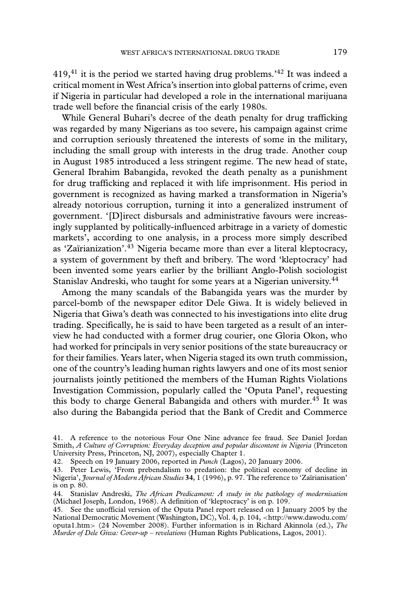$419<sup>41</sup>$  it is the period we started having drug problems.<sup>'42</sup> It was indeed a critical moment in West Africa's insertion into global patterns of crime, even if Nigeria in particular had developed a role in the international marijuana trade well before the financial crisis of the early 1980s.

While General Buhari's decree of the death penalty for drug trafficking was regarded by many Nigerians as too severe, his campaign against crime and corruption seriously threatened the interests of some in the military, including the small group with interests in the drug trade. Another coup in August 1985 introduced a less stringent regime. The new head of state, General Ibrahim Babangida, revoked the death penalty as a punishment for drug trafficking and replaced it with life imprisonment. His period in government is recognized as having marked a transformation in Nigeria's already notorious corruption, turning it into a generalized instrument of government. '[D]irect disbursals and administrative favours were increasingly supplanted by politically-influenced arbitrage in a variety of domestic markets', according to one analysis, in a process more simply described as 'Zaïrianization'. $^{43}$  Nigeria became more than ever a literal kleptocracy, a system of government by theft and bribery. The word 'kleptocracy' had been invented some years earlier by the brilliant Anglo-Polish sociologist Stanislav Andreski, who taught for some years at a Nigerian university.<sup>44</sup>

Among the many scandals of the Babangida years was the murder by parcel-bomb of the newspaper editor Dele Giwa. It is widely believed in Nigeria that Giwa's death was connected to his investigations into elite drug trading. Specifically, he is said to have been targeted as a result of an interview he had conducted with a former drug courier, one Gloria Okon, who had worked for principals in very senior positions of the state bureaucracy or for their families. Years later, when Nigeria staged its own truth commission, one of the country's leading human rights lawyers and one of its most senior journalists jointly petitioned the members of the Human Rights Violations Investigation Commission, popularly called the 'Oputa Panel', requesting this body to charge General Babangida and others with murder.<sup>45</sup> It was also during the Babangida period that the Bank of Credit and Commerce

42. Speech on 19 January 2006, reported in *Punch* (Lagos), 20 January 2006.

- 43. Peter Lewis, 'From prebendalism to predation: the political economy of decline in Nigeria', *Journal of Modern African Studies* 34, 1 (1996), p. 97. The reference to 'Zaïrianisation' is on p. 80.
- 44. Stanislav Andreski, *The African Predicament: A study in the pathology of modernisation* (Michael Joseph, London, 1968). A definition of 'kleptocracy' is on p. 109.
- 45. See the unofficial version of the Oputa Panel report released on 1 January 2005 by the National Democratic Movement (Washington, DC), Vol. 4, p. 104, <http://www.dawodu.com/ oputa1.htm> (24 November 2008). Further information is in Richard Akinnola (ed.), *The Murder of Dele Giwa: Cover-up – revelations* (Human Rights Publications, Lagos, 2001).

<sup>41.</sup> A reference to the notorious Four One Nine advance fee fraud. See Daniel Jordan Smith, *A Culture of Corruption: Everyday deception and popular discontent in Nigeria* (Princeton University Press, Princeton, NJ, 2007), especially Chapter 1.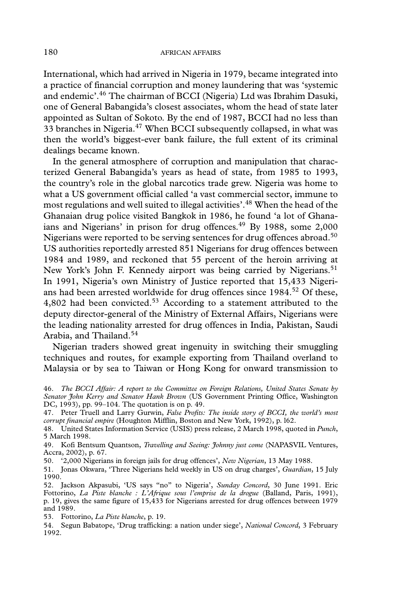International, which had arrived in Nigeria in 1979, became integrated into a practice of financial corruption and money laundering that was 'systemic and endemic'.46 The chairman of BCCI (Nigeria) Ltd was Ibrahim Dasuki, one of General Babangida's closest associates, whom the head of state later appointed as Sultan of Sokoto. By the end of 1987, BCCI had no less than 33 branches in Nigeria. $47$  When BCCI subsequently collapsed, in what was then the world's biggest-ever bank failure, the full extent of its criminal dealings became known.

In the general atmosphere of corruption and manipulation that characterized General Babangida's years as head of state, from 1985 to 1993, the country's role in the global narcotics trade grew. Nigeria was home to what a US government official called 'a vast commercial sector, immune to most regulations and well suited to illegal activities'.<sup>48</sup> When the head of the Ghanaian drug police visited Bangkok in 1986, he found 'a lot of Ghanaians and Nigerians' in prison for drug offences. $^{49}$  By 1988, some 2,000 Nigerians were reported to be serving sentences for drug offences abroad.<sup>50</sup> US authorities reportedly arrested 851 Nigerians for drug offences between 1984 and 1989, and reckoned that 55 percent of the heroin arriving at New York's John F. Kennedy airport was being carried by Nigerians.<sup>51</sup> In 1991, Nigeria's own Ministry of Justice reported that 15,433 Nigerians had been arrested worldwide for drug offences since  $1984$ <sup>52</sup> Of these, 4,802 had been convicted.<sup>53</sup> According to a statement attributed to the deputy director-general of the Ministry of External Affairs, Nigerians were the leading nationality arrested for drug offences in India, Pakistan, Saudi Arabia, and Thailand.<sup>54</sup>

Nigerian traders showed great ingenuity in switching their smuggling techniques and routes, for example exporting from Thailand overland to Malaysia or by sea to Taiwan or Hong Kong for onward transmission to

<sup>46.</sup> *The BCCI Affair: A report to the Committee on Foreign Relations, United States Senate by Senator John Kerry and Senator Hank Brown* (US Government Printing Office, Washington DC, 1993), pp. 99–104. The quotation is on p. 49.

<sup>47.</sup> Peter Truell and Larry Gurwin, *False Profits: The inside story of BCCI, the world's most corrupt financial empire* (Houghton Mifflin, Boston and New York, 1992), p. l62.

<sup>48.</sup> United States Information Service (USIS) press release, 2 March 1998, quoted in *Punch*, 5 March 1998.

<sup>49.</sup> Kofi Bentsum Quantson, *Travelling and Seeing: Johnny just come* (NAPASVIL Ventures, Accra, 2002), p. 67.

<sup>50. &#</sup>x27;2,000 Nigerians in foreign jails for drug offences', *New Nigerian*, 13 May 1988.

<sup>51.</sup> Jonas Okwara, 'Three Nigerians held weekly in US on drug charges', *Guardian*, 15 July 1990.

<sup>52.</sup> Jackson Akpasubi, 'US says "no" to Nigeria', *Sunday Concord*, 30 June 1991. Eric Fottorino, *La Piste blanche : L'Afrique sous l'emprise de la drogue* (Balland, Paris, 1991), p. 19, gives the same figure of 15,433 for Nigerians arrested for drug offences between 1979 and 1989.

<sup>53.</sup> Fottorino, *La Piste blanche*, p. 19.

<sup>54.</sup> Segun Babatope, 'Drug trafficking: a nation under siege', *National Concord*, 3 February 1992.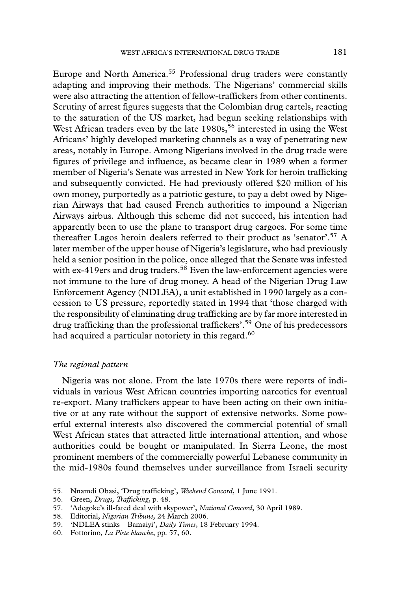Europe and North America.<sup>55</sup> Professional drug traders were constantly adapting and improving their methods. The Nigerians' commercial skills were also attracting the attention of fellow-traffickers from other continents. Scrutiny of arrest figures suggests that the Colombian drug cartels, reacting to the saturation of the US market, had begun seeking relationships with West African traders even by the late  $1980s$ ,  $56$  interested in using the West Africans' highly developed marketing channels as a way of penetrating new areas, notably in Europe. Among Nigerians involved in the drug trade were figures of privilege and influence, as became clear in 1989 when a former member of Nigeria's Senate was arrested in New York for heroin trafficking and subsequently convicted. He had previously offered \$20 million of his own money, purportedly as a patriotic gesture, to pay a debt owed by Nigerian Airways that had caused French authorities to impound a Nigerian Airways airbus. Although this scheme did not succeed, his intention had apparently been to use the plane to transport drug cargoes. For some time thereafter Lagos heroin dealers referred to their product as 'senator'.<sup>57</sup> A later member of the upper house of Nigeria's legislature, who had previously held a senior position in the police, once alleged that the Senate was infested with ex-419ers and drug traders.<sup>58</sup> Even the law-enforcement agencies were not immune to the lure of drug money. A head of the Nigerian Drug Law Enforcement Agency (NDLEA), a unit established in 1990 largely as a concession to US pressure, reportedly stated in 1994 that 'those charged with the responsibility of eliminating drug trafficking are by far more interested in drug trafficking than the professional traffickers'.59 One of his predecessors had acquired a particular notoriety in this regard.<sup>60</sup>

# *The regional pattern*

Nigeria was not alone. From the late 1970s there were reports of individuals in various West African countries importing narcotics for eventual re-export. Many traffickers appear to have been acting on their own initiative or at any rate without the support of extensive networks. Some powerful external interests also discovered the commercial potential of small West African states that attracted little international attention, and whose authorities could be bought or manipulated. In Sierra Leone, the most prominent members of the commercially powerful Lebanese community in the mid-1980s found themselves under surveillance from Israeli security

- 59. 'NDLEA stinks Bamaiyi', *Daily Times*, 18 February 1994.
- 60. Fottorino, *La Piste blanche*, pp. 57, 60.

<sup>55.</sup> Nnamdi Obasi, 'Drug trafficking', *Weekend Concord*, 1 June 1991.

<sup>56.</sup> Green, *Drugs, Trafficking*, p. 48.

<sup>57. &#</sup>x27;Adegoke's ill-fated deal with skypower', *National Concord*, 30 April 1989.

<sup>58.</sup> Editorial, *Nigerian Tribune*, 24 March 2006.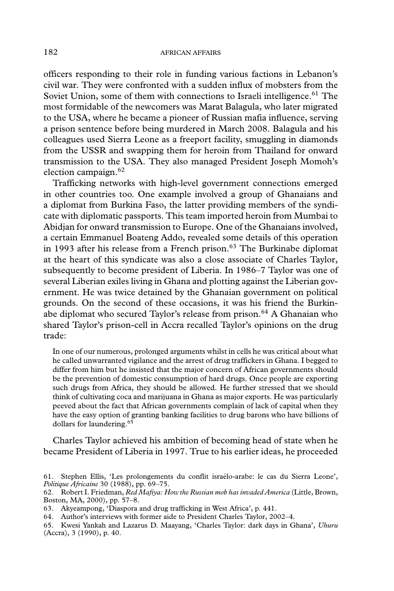officers responding to their role in funding various factions in Lebanon's civil war. They were confronted with a sudden influx of mobsters from the Soviet Union, some of them with connections to Israeli intelligence.<sup>61</sup> The most formidable of the newcomers was Marat Balagula, who later migrated to the USA, where he became a pioneer of Russian mafia influence, serving a prison sentence before being murdered in March 2008. Balagula and his colleagues used Sierra Leone as a freeport facility, smuggling in diamonds from the USSR and swapping them for heroin from Thailand for onward transmission to the USA. They also managed President Joseph Momoh's election campaign.<sup>62</sup>

Trafficking networks with high-level government connections emerged in other countries too. One example involved a group of Ghanaians and a diplomat from Burkina Faso, the latter providing members of the syndicate with diplomatic passports. This team imported heroin from Mumbai to Abidjan for onward transmission to Europe. One of the Ghanaians involved, a certain Emmanuel Boateng Addo, revealed some details of this operation in 1993 after his release from a French prison.<sup>63</sup> The Burkinabe diplomat at the heart of this syndicate was also a close associate of Charles Taylor, subsequently to become president of Liberia. In 1986–7 Taylor was one of several Liberian exiles living in Ghana and plotting against the Liberian government. He was twice detained by the Ghanaian government on political grounds. On the second of these occasions, it was his friend the Burkinabe diplomat who secured Taylor's release from prison.<sup>64</sup> A Ghanaian who shared Taylor's prison-cell in Accra recalled Taylor's opinions on the drug trade:

In one of our numerous, prolonged arguments whilst in cells he was critical about what he called unwarranted vigilance and the arrest of drug traffickers in Ghana. I begged to differ from him but he insisted that the major concern of African governments should be the prevention of domestic consumption of hard drugs. Once people are exporting such drugs from Africa, they should be allowed. He further stressed that we should think of cultivating coca and marijuana in Ghana as major exports. He was particularly peeved about the fact that African governments complain of lack of capital when they have the easy option of granting banking facilities to drug barons who have billions of dollars for laundering.65

Charles Taylor achieved his ambition of becoming head of state when he became President of Liberia in 1997. True to his earlier ideas, he proceeded

<sup>61.</sup> Stephen Ellis, 'Les prolongements du conflit israelo-arabe: le cas du Sierra Leone', ´ *Politique Africaine* 30 (1988), pp. 69–75.

<sup>62.</sup> Robert I. Friedman, *Red Mafiya: How the Russian mob has invaded America* (Little, Brown, Boston, MA, 2000), pp. 57–8.

<sup>63.</sup> Akyeampong, 'Diaspora and drug trafficking in West Africa', p. 441.

<sup>64.</sup> Author's interviews with former aide to President Charles Taylor, 2002–4.

<sup>65.</sup> Kwesi Yankah and Lazarus D. Maayang, 'Charles Taylor: dark days in Ghana', *Uhuru* (Accra), 3 (1990), p. 40.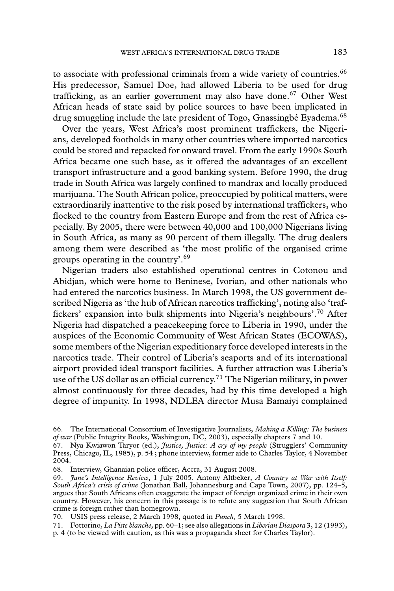to associate with professional criminals from a wide variety of countries.<sup>66</sup> His predecessor, Samuel Doe, had allowed Liberia to be used for drug trafficking, as an earlier government may also have done.<sup>67</sup> Other West African heads of state said by police sources to have been implicated in drug smuggling include the late president of Togo, Gnassingbé Eyadema.<sup>68</sup>

Over the years, West Africa's most prominent traffickers, the Nigerians, developed footholds in many other countries where imported narcotics could be stored and repacked for onward travel. From the early 1990s South Africa became one such base, as it offered the advantages of an excellent transport infrastructure and a good banking system. Before 1990, the drug trade in South Africa was largely confined to mandrax and locally produced marijuana. The South African police, preoccupied by political matters, were extraordinarily inattentive to the risk posed by international traffickers, who flocked to the country from Eastern Europe and from the rest of Africa especially. By 2005, there were between 40,000 and 100,000 Nigerians living in South Africa, as many as 90 percent of them illegally. The drug dealers among them were described as 'the most prolific of the organised crime groups operating in the country'.<sup>69</sup>

Nigerian traders also established operational centres in Cotonou and Abidjan, which were home to Beninese, Ivorian, and other nationals who had entered the narcotics business. In March 1998, the US government described Nigeria as 'the hub of African narcotics trafficking', noting also 'traffickers' expansion into bulk shipments into Nigeria's neighbours'.<sup>70</sup> After Nigeria had dispatched a peacekeeping force to Liberia in 1990, under the auspices of the Economic Community of West African States (ECOWAS), some members of the Nigerian expeditionary force developed interests in the narcotics trade. Their control of Liberia's seaports and of its international airport provided ideal transport facilities. A further attraction was Liberia's use of the US dollar as an official currency.<sup>71</sup> The Nigerian military, in power almost continuously for three decades, had by this time developed a high degree of impunity. In 1998, NDLEA director Musa Bamaiyi complained

p. 4 (to be viewed with caution, as this was a propaganda sheet for Charles Taylor).

<sup>66.</sup> The International Consortium of Investigative Journalists, *Making a Killing: The business of war* (Public Integrity Books, Washington, DC, 2003), especially chapters 7 and 10.

<sup>67.</sup> Nya Kwiawon Taryor (ed.), *Justice, Justice: A cry of my people* (Strugglers' Community Press, Chicago, IL, 1985), p. 54 ; phone interview, former aide to Charles Taylor, 4 November 2004.

<sup>68.</sup> Interview, Ghanaian police officer, Accra, 31 August 2008.

<sup>69.</sup> *Jane's Intelligence Review*, 1 July 2005. Antony Altbeker, *A Country at War with Itself: South Africa's crisis of crime* (Jonathan Ball, Johannesburg and Cape Town, 2007), pp. 124–5, argues that South Africans often exaggerate the impact of foreign organized crime in their own country. However, his concern in this passage is to refute any suggestion that South African crime is foreign rather than homegrown.

<sup>70.</sup> USIS press release, 2 March 1998, quoted in *Punch*, 5 March 1998.

<sup>71.</sup> Fottorino, *La Piste blanche*, pp. 60–1; see also allegations in *Liberian Diaspora* **3**, 12 (1993),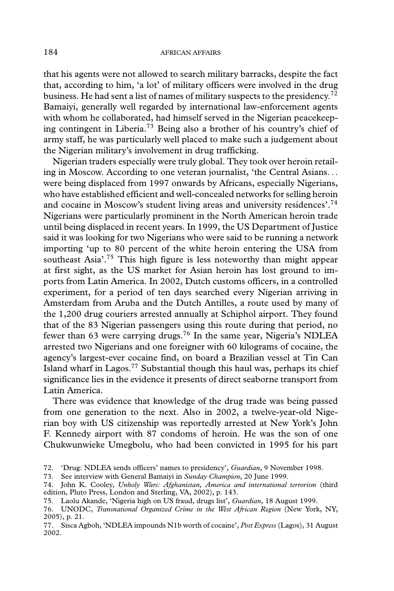#### 184 **AFRICAN AFFAIRS**

that his agents were not allowed to search military barracks, despite the fact that, according to him, 'a lot' of military officers were involved in the drug business. He had sent a list of names of military suspects to the presidency.<sup>72</sup> Bamaiyi, generally well regarded by international law-enforcement agents with whom he collaborated, had himself served in the Nigerian peacekeeping contingent in Liberia.<sup>73</sup> Being also a brother of his country's chief of army staff, he was particularly well placed to make such a judgement about the Nigerian military's involvement in drug trafficking.

Nigerian traders especially were truly global. They took over heroin retailing in Moscow. According to one veteran journalist, 'the Central Asians... were being displaced from 1997 onwards by Africans, especially Nigerians, who have established efficient and well-concealed networks for selling heroin and cocaine in Moscow's student living areas and university residences'.74 Nigerians were particularly prominent in the North American heroin trade until being displaced in recent years. In 1999, the US Department of Justice said it was looking for two Nigerians who were said to be running a network importing 'up to 80 percent of the white heroin entering the USA from southeast Asia'.75 This high figure is less noteworthy than might appear at first sight, as the US market for Asian heroin has lost ground to imports from Latin America. In 2002, Dutch customs officers, in a controlled experiment, for a period of ten days searched every Nigerian arriving in Amsterdam from Aruba and the Dutch Antilles, a route used by many of the 1,200 drug couriers arrested annually at Schiphol airport. They found that of the 83 Nigerian passengers using this route during that period, no fewer than 63 were carrying drugs.<sup>76</sup> In the same year, Nigeria's NDLEA arrested two Nigerians and one foreigner with 60 kilograms of cocaine, the agency's largest-ever cocaine find, on board a Brazilian vessel at Tin Can Island wharf in Lagos.<sup>77</sup> Substantial though this haul was, perhaps its chief significance lies in the evidence it presents of direct seaborne transport from Latin America.

There was evidence that knowledge of the drug trade was being passed from one generation to the next. Also in 2002, a twelve-year-old Nigerian boy with US citizenship was reportedly arrested at New York's John F. Kennedy airport with 87 condoms of heroin. He was the son of one Chukwunwieke Umegbolu, who had been convicted in 1995 for his part

<sup>72. &#</sup>x27;Drug: NDLEA sends officers' names to presidency', *Guardian*, 9 November 1998.

<sup>73.</sup> See interview with General Bamaiyi in *Sunday Champion*, 20 June 1999.

<sup>74.</sup> John K. Cooley, *Unholy Wars: Afghanistan, America and international terrorism* (third edition, Pluto Press, London and Sterling, VA, 2002), p. 143.

<sup>75.</sup> Laolu Akande, 'Nigeria high on US fraud, drugs list', *Guardian*, 18 August 1999.

<sup>76.</sup> UNODC, *Transnational Organized Crime in the West African Region* (New York, NY, 2005), p. 21.

<sup>77.</sup> Sisca Agboh, 'NDLEA impounds N1b worth of cocaine', *Post Express* (Lagos), 31 August 2002.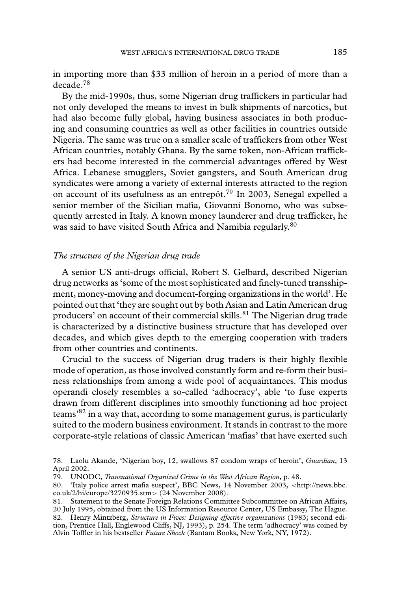in importing more than \$33 million of heroin in a period of more than a decade.78

By the mid-1990s, thus, some Nigerian drug traffickers in particular had not only developed the means to invest in bulk shipments of narcotics, but had also become fully global, having business associates in both producing and consuming countries as well as other facilities in countries outside Nigeria. The same was true on a smaller scale of traffickers from other West African countries, notably Ghana. By the same token, non-African traffickers had become interested in the commercial advantages offered by West Africa. Lebanese smugglers, Soviet gangsters, and South American drug syndicates were among a variety of external interests attracted to the region on account of its usefulness as an entrepot.<sup>79</sup> In 2003, Senegal expelled a senior member of the Sicilian mafia, Giovanni Bonomo, who was subsequently arrested in Italy. A known money launderer and drug trafficker, he was said to have visited South Africa and Namibia regularly.<sup>80</sup>

## *The structure of the Nigerian drug trade*

A senior US anti-drugs official, Robert S. Gelbard, described Nigerian drug networks as 'some of the most sophisticated and finely-tuned transshipment, money-moving and document-forging organizations in the world'. He pointed out that 'they are sought out by both Asian and Latin American drug producers' on account of their commercial skills.<sup>81</sup> The Nigerian drug trade is characterized by a distinctive business structure that has developed over decades, and which gives depth to the emerging cooperation with traders from other countries and continents.

Crucial to the success of Nigerian drug traders is their highly flexible mode of operation, as those involved constantly form and re-form their business relationships from among a wide pool of acquaintances. This modus operandi closely resembles a so-called 'adhocracy', able 'to fuse experts drawn from different disciplines into smoothly functioning ad hoc project teams'82 in a way that, according to some management gurus, is particularly suited to the modern business environment. It stands in contrast to the more corporate-style relations of classic American 'mafias' that have exerted such

<sup>78.</sup> Laolu Akande, 'Nigerian boy, 12, swallows 87 condom wraps of heroin', *Guardian*, 13 April 2002.

<sup>79.</sup> UNODC, *Transnational Organized Crime in the West African Region*, p. 48.

<sup>80. &#</sup>x27;Italy police arrest mafia suspect', BBC News, 14 November 2003, <http://news.bbc. co.uk/2/hi/europe/3270935.stm> (24 November 2008).

<sup>81.</sup> Statement to the Senate Foreign Relations Committee Subcommittee on African Affairs, 20 July 1995, obtained from the US Information Resource Center, US Embassy, The Hague. 82. Henry Mintzberg, *Structure in Fives: Designing effective organizations* (1983; second edition, Prentice Hall, Englewood Cliffs, NJ, 1993), p. 254. The term 'adhocracy' was coined by Alvin Toffler in his bestseller *Future Shock* (Bantam Books, New York, NY, 1972).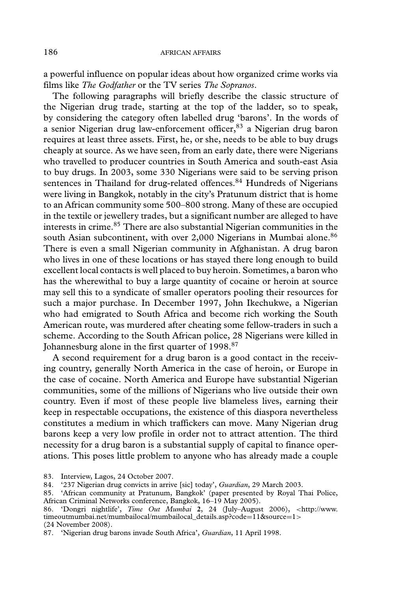a powerful influence on popular ideas about how organized crime works via films like *The Godfather* or the TV series *The Sopranos*.

The following paragraphs will briefly describe the classic structure of the Nigerian drug trade, starting at the top of the ladder, so to speak, by considering the category often labelled drug 'barons'. In the words of a senior Nigerian drug law-enforcement officer,<sup>83</sup> a Nigerian drug baron requires at least three assets. First, he, or she, needs to be able to buy drugs cheaply at source. As we have seen, from an early date, there were Nigerians who travelled to producer countries in South America and south-east Asia to buy drugs. In 2003, some 330 Nigerians were said to be serving prison sentences in Thailand for drug-related offences.<sup>84</sup> Hundreds of Nigerians were living in Bangkok, notably in the city's Pratunum district that is home to an African community some 500–800 strong. Many of these are occupied in the textile or jewellery trades, but a significant number are alleged to have interests in crime.<sup>85</sup> There are also substantial Nigerian communities in the south Asian subcontinent, with over  $2,000$  Nigerians in Mumbai alone.<sup>86</sup> There is even a small Nigerian community in Afghanistan. A drug baron who lives in one of these locations or has stayed there long enough to build excellent local contacts is well placed to buy heroin. Sometimes, a baron who has the wherewithal to buy a large quantity of cocaine or heroin at source may sell this to a syndicate of smaller operators pooling their resources for such a major purchase. In December 1997, John Ikechukwe, a Nigerian who had emigrated to South Africa and become rich working the South American route, was murdered after cheating some fellow-traders in such a scheme. According to the South African police, 28 Nigerians were killed in Johannesburg alone in the first quarter of 1998.<sup>87</sup>

A second requirement for a drug baron is a good contact in the receiving country, generally North America in the case of heroin, or Europe in the case of cocaine. North America and Europe have substantial Nigerian communities, some of the millions of Nigerians who live outside their own country. Even if most of these people live blameless lives, earning their keep in respectable occupations, the existence of this diaspora nevertheless constitutes a medium in which traffickers can move. Many Nigerian drug barons keep a very low profile in order not to attract attention. The third necessity for a drug baron is a substantial supply of capital to finance operations. This poses little problem to anyone who has already made a couple

<sup>83.</sup> Interview, Lagos, 24 October 2007.

<sup>84. &#</sup>x27;237 Nigerian drug convicts in arrive [sic] today', *Guardian*, 29 March 2003.

<sup>85. &#</sup>x27;African community at Pratunum, Bangkok' (paper presented by Royal Thai Police, African Criminal Networks conference, Bangkok, 16–19 May 2005).

<sup>86. &#</sup>x27;Dongri nightlife', *Time Out Mumbai* **2**, 24 (July–August 2006), <http://www. timeoutmumbai.net/mumbailocal/mumbailocal\_details.asp?code=11&source=1> (24 November 2008).

<sup>87. &#</sup>x27;Nigerian drug barons invade South Africa', *Guardian*, 11 April 1998.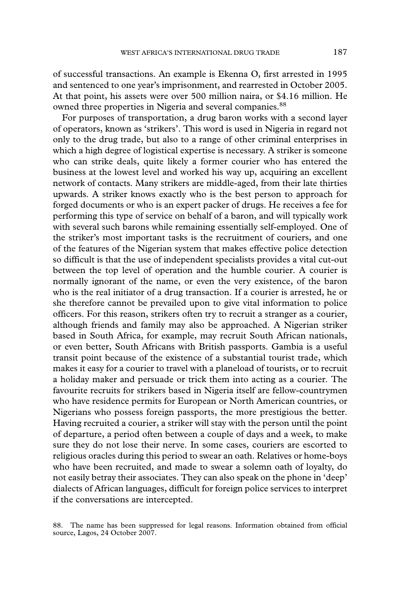of successful transactions. An example is Ekenna O, first arrested in 1995 and sentenced to one year's imprisonment, and rearrested in October 2005. At that point, his assets were over 500 million naira, or \$4.16 million. He owned three properties in Nigeria and several companies.<sup>88</sup>

For purposes of transportation, a drug baron works with a second layer of operators, known as 'strikers'. This word is used in Nigeria in regard not only to the drug trade, but also to a range of other criminal enterprises in which a high degree of logistical expertise is necessary. A striker is someone who can strike deals, quite likely a former courier who has entered the business at the lowest level and worked his way up, acquiring an excellent network of contacts. Many strikers are middle-aged, from their late thirties upwards. A striker knows exactly who is the best person to approach for forged documents or who is an expert packer of drugs. He receives a fee for performing this type of service on behalf of a baron, and will typically work with several such barons while remaining essentially self-employed. One of the striker's most important tasks is the recruitment of couriers, and one of the features of the Nigerian system that makes effective police detection so difficult is that the use of independent specialists provides a vital cut-out between the top level of operation and the humble courier. A courier is normally ignorant of the name, or even the very existence, of the baron who is the real initiator of a drug transaction. If a courier is arrested, he or she therefore cannot be prevailed upon to give vital information to police officers. For this reason, strikers often try to recruit a stranger as a courier, although friends and family may also be approached. A Nigerian striker based in South Africa, for example, may recruit South African nationals, or even better, South Africans with British passports. Gambia is a useful transit point because of the existence of a substantial tourist trade, which makes it easy for a courier to travel with a planeload of tourists, or to recruit a holiday maker and persuade or trick them into acting as a courier. The favourite recruits for strikers based in Nigeria itself are fellow-countrymen who have residence permits for European or North American countries, or Nigerians who possess foreign passports, the more prestigious the better. Having recruited a courier, a striker will stay with the person until the point of departure, a period often between a couple of days and a week, to make sure they do not lose their nerve. In some cases, couriers are escorted to religious oracles during this period to swear an oath. Relatives or home-boys who have been recruited, and made to swear a solemn oath of loyalty, do not easily betray their associates. They can also speak on the phone in 'deep' dialects of African languages, difficult for foreign police services to interpret if the conversations are intercepted.

<sup>88.</sup> The name has been suppressed for legal reasons. Information obtained from official source, Lagos, 24 October 2007.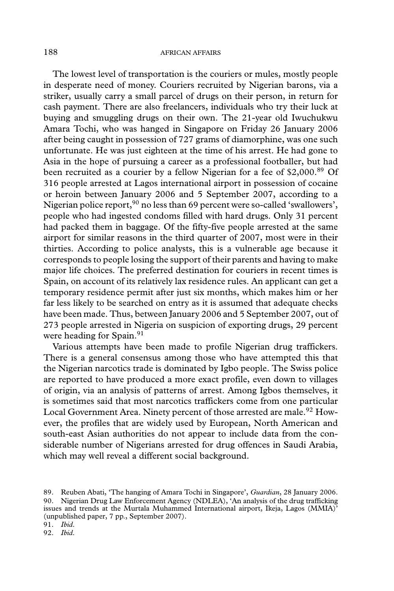### 188 **AFRICAN AFFAIRS**

The lowest level of transportation is the couriers or mules, mostly people in desperate need of money. Couriers recruited by Nigerian barons, via a striker, usually carry a small parcel of drugs on their person, in return for cash payment. There are also freelancers, individuals who try their luck at buying and smuggling drugs on their own. The 21-year old Iwuchukwu Amara Tochi, who was hanged in Singapore on Friday 26 January 2006 after being caught in possession of 727 grams of diamorphine, was one such unfortunate. He was just eighteen at the time of his arrest. He had gone to Asia in the hope of pursuing a career as a professional footballer, but had been recruited as a courier by a fellow Nigerian for a fee of \$2,000.89 Of 316 people arrested at Lagos international airport in possession of cocaine or heroin between January 2006 and 5 September 2007, according to a Nigerian police report,  $90$  no less than 69 percent were so-called 'swallowers', people who had ingested condoms filled with hard drugs. Only 31 percent had packed them in baggage. Of the fifty-five people arrested at the same airport for similar reasons in the third quarter of 2007, most were in their thirties. According to police analysts, this is a vulnerable age because it corresponds to people losing the support of their parents and having to make major life choices. The preferred destination for couriers in recent times is Spain, on account of its relatively lax residence rules. An applicant can get a temporary residence permit after just six months, which makes him or her far less likely to be searched on entry as it is assumed that adequate checks have been made. Thus, between January 2006 and 5 September 2007, out of 273 people arrested in Nigeria on suspicion of exporting drugs, 29 percent were heading for Spain.<sup>91</sup>

Various attempts have been made to profile Nigerian drug traffickers. There is a general consensus among those who have attempted this that the Nigerian narcotics trade is dominated by Igbo people. The Swiss police are reported to have produced a more exact profile, even down to villages of origin, via an analysis of patterns of arrest. Among Igbos themselves, it is sometimes said that most narcotics traffickers come from one particular Local Government Area. Ninety percent of those arrested are male.<sup>92</sup> However, the profiles that are widely used by European, North American and south-east Asian authorities do not appear to include data from the considerable number of Nigerians arrested for drug offences in Saudi Arabia, which may well reveal a different social background.

<sup>89.</sup> Reuben Abati, 'The hanging of Amara Tochi in Singapore', *Guardian*, 28 January 2006. 90. Nigerian Drug Law Enforcement Agency (NDLEA), 'An analysis of the drug trafficking issues and trends at the Murtala Muhammed International airport, Ikeja, Lagos (MMIA)' (unpublished paper, 7 pp., September 2007).

<sup>91.</sup> *Ibid*.

<sup>92.</sup> *Ibid*.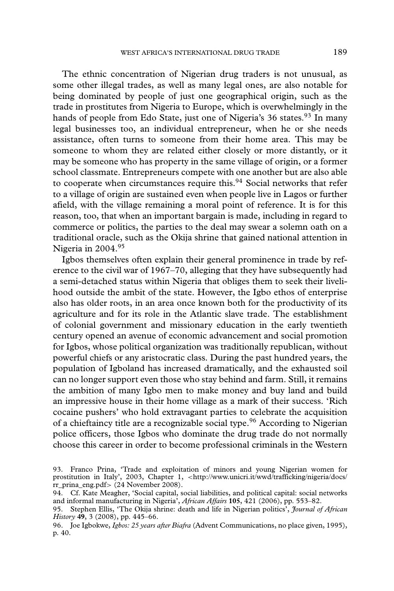The ethnic concentration of Nigerian drug traders is not unusual, as some other illegal trades, as well as many legal ones, are also notable for being dominated by people of just one geographical origin, such as the trade in prostitutes from Nigeria to Europe, which is overwhelmingly in the hands of people from Edo State, just one of Nigeria's 36 states.<sup>93</sup> In many legal businesses too, an individual entrepreneur, when he or she needs assistance, often turns to someone from their home area. This may be someone to whom they are related either closely or more distantly, or it may be someone who has property in the same village of origin, or a former school classmate. Entrepreneurs compete with one another but are also able to cooperate when circumstances require this.<sup>94</sup> Social networks that refer to a village of origin are sustained even when people live in Lagos or further afield, with the village remaining a moral point of reference. It is for this reason, too, that when an important bargain is made, including in regard to commerce or politics, the parties to the deal may swear a solemn oath on a traditional oracle, such as the Okija shrine that gained national attention in Nigeria in 2004.<sup>95</sup>

Igbos themselves often explain their general prominence in trade by reference to the civil war of 1967–70, alleging that they have subsequently had a semi-detached status within Nigeria that obliges them to seek their livelihood outside the ambit of the state. However, the Igbo ethos of enterprise also has older roots, in an area once known both for the productivity of its agriculture and for its role in the Atlantic slave trade. The establishment of colonial government and missionary education in the early twentieth century opened an avenue of economic advancement and social promotion for Igbos, whose political organization was traditionally republican, without powerful chiefs or any aristocratic class. During the past hundred years, the population of Igboland has increased dramatically, and the exhausted soil can no longer support even those who stay behind and farm. Still, it remains the ambition of many Igbo men to make money and buy land and build an impressive house in their home village as a mark of their success. 'Rich cocaine pushers' who hold extravagant parties to celebrate the acquisition of a chieftaincy title are a recognizable social type.<sup>96</sup> According to Nigerian police officers, those Igbos who dominate the drug trade do not normally choose this career in order to become professional criminals in the Western

<sup>93.</sup> Franco Prina, 'Trade and exploitation of minors and young Nigerian women for prostitution in Italy', 2003, Chapter 1, <http://www.unicri.it/wwd/trafficking/nigeria/docs/ rr\_prina\_eng.pdf> (24 November 2008).

<sup>94.</sup> Cf. Kate Meagher, 'Social capital, social liabilities, and political capital: social networks and informal manufacturing in Nigeria', *African Affairs* **105**, 421 (2006), pp. 553–82.

<sup>95.</sup> Stephen Ellis, 'The Okija shrine: death and life in Nigerian politics', *Journal of African History* **49**, 3 (2008), pp. 445–66.

<sup>96.</sup> Joe Igbokwe, *Igbos: 25 years after Biafra* (Advent Communications, no place given, 1995), p. 40.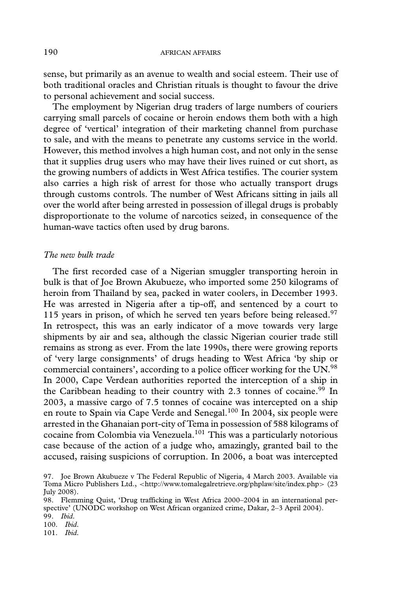sense, but primarily as an avenue to wealth and social esteem. Their use of both traditional oracles and Christian rituals is thought to favour the drive to personal achievement and social success.

The employment by Nigerian drug traders of large numbers of couriers carrying small parcels of cocaine or heroin endows them both with a high degree of 'vertical' integration of their marketing channel from purchase to sale, and with the means to penetrate any customs service in the world. However, this method involves a high human cost, and not only in the sense that it supplies drug users who may have their lives ruined or cut short, as the growing numbers of addicts in West Africa testifies. The courier system also carries a high risk of arrest for those who actually transport drugs through customs controls. The number of West Africans sitting in jails all over the world after being arrested in possession of illegal drugs is probably disproportionate to the volume of narcotics seized, in consequence of the human-wave tactics often used by drug barons.

### *The new bulk trade*

The first recorded case of a Nigerian smuggler transporting heroin in bulk is that of Joe Brown Akubueze, who imported some 250 kilograms of heroin from Thailand by sea, packed in water coolers, in December 1993. He was arrested in Nigeria after a tip-off, and sentenced by a court to 115 years in prison, of which he served ten years before being released.<sup>97</sup> In retrospect, this was an early indicator of a move towards very large shipments by air and sea, although the classic Nigerian courier trade still remains as strong as ever. From the late 1990s, there were growing reports of 'very large consignments' of drugs heading to West Africa 'by ship or commercial containers', according to a police officer working for the UN.<sup>98</sup> In 2000, Cape Verdean authorities reported the interception of a ship in the Caribbean heading to their country with 2.3 tonnes of cocaine.<sup>99</sup> In 2003, a massive cargo of 7.5 tonnes of cocaine was intercepted on a ship en route to Spain via Cape Verde and Senegal.<sup>100</sup> In 2004, six people were arrested in the Ghanaian port-city of Tema in possession of 588 kilograms of cocaine from Colombia via Venezuela.<sup>101</sup> This was a particularly notorious case because of the action of a judge who, amazingly, granted bail to the accused, raising suspicions of corruption. In 2006, a boat was intercepted

100. *Ibid*.

101. *Ibid*.

<sup>97.</sup> Joe Brown Akubueze v The Federal Republic of Nigeria, 4 March 2003. Available via Toma Micro Publishers Ltd., <http://www.tomalegalretrieve.org/phplaw/site/index.php> (23 July 2008).

<sup>98.</sup> Flemming Quist, 'Drug trafficking in West Africa 2000–2004 in an international perspective' (UNODC workshop on West African organized crime, Dakar, 2–3 April 2004). 99. *Ibid*.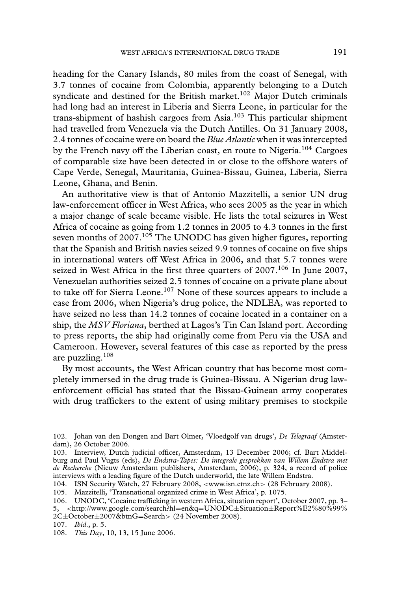heading for the Canary Islands, 80 miles from the coast of Senegal, with 3.7 tonnes of cocaine from Colombia, apparently belonging to a Dutch syndicate and destined for the British market.<sup>102</sup> Major Dutch criminals had long had an interest in Liberia and Sierra Leone, in particular for the trans-shipment of hashish cargoes from Asia.103 This particular shipment had travelled from Venezuela via the Dutch Antilles. On 31 January 2008, 2.4 tonnes of cocaine were on board the *Blue Atlantic* when it was intercepted by the French navy off the Liberian coast, en route to Nigeria.<sup>104</sup> Cargoes of comparable size have been detected in or close to the offshore waters of Cape Verde, Senegal, Mauritania, Guinea-Bissau, Guinea, Liberia, Sierra Leone, Ghana, and Benin.

An authoritative view is that of Antonio Mazzitelli, a senior UN drug law-enforcement officer in West Africa, who sees 2005 as the year in which a major change of scale became visible. He lists the total seizures in West Africa of cocaine as going from 1.2 tonnes in 2005 to 4.3 tonnes in the first seven months of 2007.<sup>105</sup> The UNODC has given higher figures, reporting that the Spanish and British navies seized 9.9 tonnes of cocaine on five ships in international waters off West Africa in 2006, and that 5.7 tonnes were seized in West Africa in the first three quarters of  $2007$ .<sup>106</sup> In June 2007, Venezuelan authorities seized 2.5 tonnes of cocaine on a private plane about to take off for Sierra Leone.<sup>107</sup> None of these sources appears to include a case from 2006, when Nigeria's drug police, the NDLEA, was reported to have seized no less than 14.2 tonnes of cocaine located in a container on a ship, the *MSV Floriana*, berthed at Lagos's Tin Can Island port. According to press reports, the ship had originally come from Peru via the USA and Cameroon. However, several features of this case as reported by the press are puzzling.108

By most accounts, the West African country that has become most completely immersed in the drug trade is Guinea-Bissau. A Nigerian drug lawenforcement official has stated that the Bissau-Guinean army cooperates with drug traffickers to the extent of using military premises to stockpile

102. Johan van den Dongen and Bart Olmer, 'Vloedgolf van drugs', *De Telegraaf* (Amsterdam), 26 October 2006.

104. ISN Security Watch, 27 February 2008, <www.isn.etnz.ch> (28 February 2008).

106. UNODC, 'Cocaine trafficking in western Africa, situation report', October 2007, pp. 3– 5, <http://www.google.com/search?hl=en&q=UNODC±Situation±Report%E2%80%99% 2C±October±2007&btnG=Search> (24 November 2008).

<sup>103.</sup> Interview, Dutch judicial officer, Amsterdam, 13 December 2006; cf. Bart Middelburg and Paul Vugts (eds), *De Endstra-Tapes: De integrale gesprekken van Willem Endstra met de Recherche* (Nieuw Amsterdam publishers, Amsterdam, 2006), p. 324, a record of police interviews with a leading figure of the Dutch underworld, the late Willem Endstra.

<sup>105.</sup> Mazzitelli, 'Transnational organized crime in West Africa', p. 1075.

<sup>107.</sup> *Ibid*., p. 5.

<sup>108.</sup> *This Day*, 10, 13, 15 June 2006.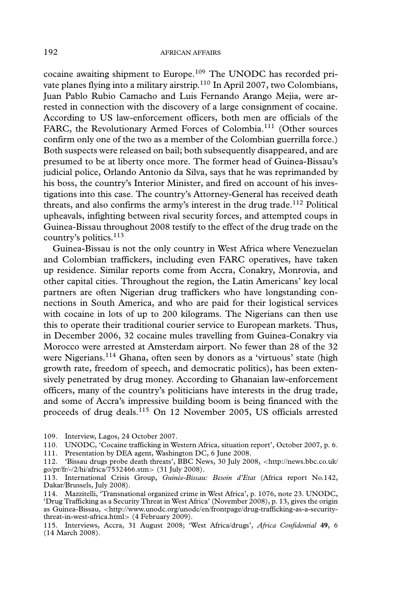cocaine awaiting shipment to Europe.<sup>109</sup> The UNODC has recorded private planes flying into a military airstrip.<sup>110</sup> In April 2007, two Colombians, Juan Pablo Rubio Camacho and Luis Fernando Arango Mejia, were arrested in connection with the discovery of a large consignment of cocaine. According to US law-enforcement officers, both men are officials of the FARC, the Revolutionary Armed Forces of Colombia.<sup>111</sup> (Other sources confirm only one of the two as a member of the Colombian guerrilla force.) Both suspects were released on bail; both subsequently disappeared, and are presumed to be at liberty once more. The former head of Guinea-Bissau's judicial police, Orlando Antonio da Silva, says that he was reprimanded by his boss, the country's Interior Minister, and fired on account of his investigations into this case. The country's Attorney-General has received death threats, and also confirms the army's interest in the drug trade.<sup>112</sup> Political upheavals, infighting between rival security forces, and attempted coups in Guinea-Bissau throughout 2008 testify to the effect of the drug trade on the country's politics.  $^{113}$ 

Guinea-Bissau is not the only country in West Africa where Venezuelan and Colombian traffickers, including even FARC operatives, have taken up residence. Similar reports come from Accra, Conakry, Monrovia, and other capital cities. Throughout the region, the Latin Americans' key local partners are often Nigerian drug traffickers who have longstanding connections in South America, and who are paid for their logistical services with cocaine in lots of up to 200 kilograms. The Nigerians can then use this to operate their traditional courier service to European markets. Thus, in December 2006, 32 cocaine mules travelling from Guinea-Conakry via Morocco were arrested at Amsterdam airport. No fewer than 28 of the 32 were Nigerians.<sup>114</sup> Ghana, often seen by donors as a 'virtuous' state (high growth rate, freedom of speech, and democratic politics), has been extensively penetrated by drug money. According to Ghanaian law-enforcement officers, many of the country's politicians have interests in the drug trade, and some of Accra's impressive building boom is being financed with the proceeds of drug deals.115 On 12 November 2005, US officials arrested

111. Presentation by DEA agent, Washington DC, 6 June 2008.

<sup>109.</sup> Interview, Lagos, 24 October 2007.

<sup>110.</sup> UNODC, 'Cocaine trafficking in Western Africa, situation report', October 2007, p. 6.

<sup>112. &#</sup>x27;Bissau drugs probe death threats', BBC News, 30 July 2008, <http://news.bbc.co.uk/ go/pr/fr/-/2/hi/africa/7532466.stm> (31 July 2008).

<sup>113.</sup> International Crisis Group, *Guinee-Bissau: Besoin d'Etat ´* (Africa report No.142, Dakar/Brussels, July 2008).

<sup>114.</sup> Mazzitelli, 'Transnational organized crime in West Africa', p. 1076, note 23. UNODC, 'Drug Trafficking as a Security Threat in West Africa' (November 2008), p. 13, gives the origin as Guinea-Bissau, <http://www.unodc.org/unodc/en/frontpage/drug-trafficking-as-a-securitythreat-in-west-africa.html> (4 February 2009).

<sup>115.</sup> Interviews, Accra, 31 August 2008; 'West Africa/drugs', *Africa Confidential* **49**, 6 (14 March 2008).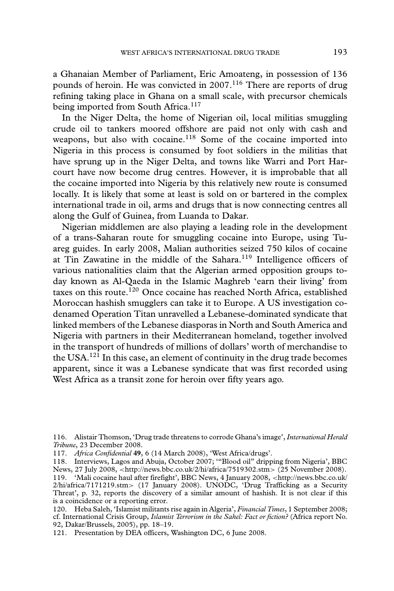a Ghanaian Member of Parliament, Eric Amoateng, in possession of 136 pounds of heroin. He was convicted in  $2007$ .<sup>116</sup> There are reports of drug refining taking place in Ghana on a small scale, with precursor chemicals being imported from South Africa.<sup>117</sup>

In the Niger Delta, the home of Nigerian oil, local militias smuggling crude oil to tankers moored offshore are paid not only with cash and weapons, but also with cocaine.<sup>118</sup> Some of the cocaine imported into Nigeria in this process is consumed by foot soldiers in the militias that have sprung up in the Niger Delta, and towns like Warri and Port Harcourt have now become drug centres. However, it is improbable that all the cocaine imported into Nigeria by this relatively new route is consumed locally. It is likely that some at least is sold on or bartered in the complex international trade in oil, arms and drugs that is now connecting centres all along the Gulf of Guinea, from Luanda to Dakar.

Nigerian middlemen are also playing a leading role in the development of a trans-Saharan route for smuggling cocaine into Europe, using Tuareg guides. In early 2008, Malian authorities seized 750 kilos of cocaine at Tin Zawatine in the middle of the Sahara.<sup>119</sup> Intelligence officers of various nationalities claim that the Algerian armed opposition groups today known as Al-Qaeda in the Islamic Maghreb 'earn their living' from taxes on this route.120 Once cocaine has reached North Africa, established Moroccan hashish smugglers can take it to Europe. A US investigation codenamed Operation Titan unravelled a Lebanese-dominated syndicate that linked members of the Lebanese diasporas in North and South America and Nigeria with partners in their Mediterranean homeland, together involved in the transport of hundreds of millions of dollars' worth of merchandise to the USA.121 In this case, an element of continuity in the drug trade becomes apparent, since it was a Lebanese syndicate that was first recorded using West Africa as a transit zone for heroin over fifty years ago.

116. Alistair Thomson, 'Drug trade threatens to corrode Ghana's image', *International Herald Tribune*, 23 December 2008.

<sup>117.</sup> *Africa Confidential* **49**, 6 (14 March 2008), 'West Africa/drugs'.

<sup>118.</sup> Interviews, Lagos and Abuja, October 2007; '"Blood oil" dripping from Nigeria', BBC News, 27 July 2008, <http://news.bbc.co.uk/2/hi/africa/7519302.stm> (25 November 2008). 119. 'Mali cocaine haul after firefight', BBC News, 4 January 2008, <http://news.bbc.co.uk/ 2/hi/africa/7171219.stm> (17 January 2008). UNODC, 'Drug Trafficking as a Security Threat', p. 32, reports the discovery of a similar amount of hashish. It is not clear if this is a coincidence or a reporting error.

<sup>120.</sup> Heba Saleh, 'Islamist militants rise again in Algeria', *Financial Times*, 1 September 2008; cf. International Crisis Group, *Islamist Terrorism in the Sahel: Fact or fiction?* (Africa report No. 92, Dakar/Brussels, 2005), pp. 18–19.

<sup>121.</sup> Presentation by DEA officers, Washington DC, 6 June 2008.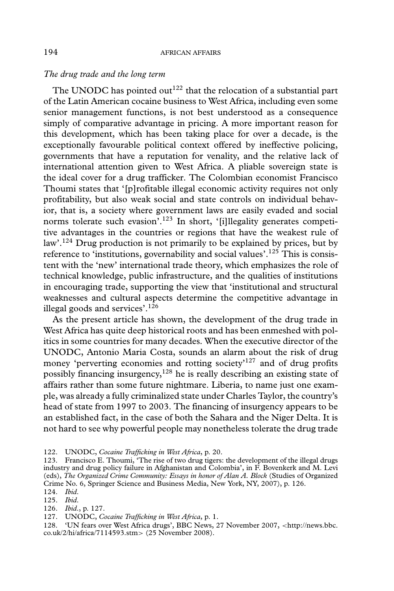#### *The drug trade and the long term*

The UNODC has pointed out<sup>122</sup> that the relocation of a substantial part of the Latin American cocaine business to West Africa, including even some senior management functions, is not best understood as a consequence simply of comparative advantage in pricing. A more important reason for this development, which has been taking place for over a decade, is the exceptionally favourable political context offered by ineffective policing, governments that have a reputation for venality, and the relative lack of international attention given to West Africa. A pliable sovereign state is the ideal cover for a drug trafficker. The Colombian economist Francisco Thoumi states that '[p]rofitable illegal economic activity requires not only profitability, but also weak social and state controls on individual behavior, that is, a society where government laws are easily evaded and social norms tolerate such evasion'.<sup>123</sup> In short, '[i]llegality generates competitive advantages in the countries or regions that have the weakest rule of law'.<sup>124</sup> Drug production is not primarily to be explained by prices, but by reference to 'institutions, governability and social values'.<sup>125</sup> This is consistent with the 'new' international trade theory, which emphasizes the role of technical knowledge, public infrastructure, and the qualities of institutions in encouraging trade, supporting the view that 'institutional and structural weaknesses and cultural aspects determine the competitive advantage in illegal goods and services'.<sup>126</sup>

As the present article has shown, the development of the drug trade in West Africa has quite deep historical roots and has been enmeshed with politics in some countries for many decades. When the executive director of the UNODC, Antonio Maria Costa, sounds an alarm about the risk of drug money 'perverting economies and rotting society'<sup>127</sup> and of drug profits possibly financing insurgency,  $128$  he is really describing an existing state of affairs rather than some future nightmare. Liberia, to name just one example, was already a fully criminalized state under Charles Taylor, the country's head of state from 1997 to 2003. The financing of insurgency appears to be an established fact, in the case of both the Sahara and the Niger Delta. It is not hard to see why powerful people may nonetheless tolerate the drug trade

<sup>122.</sup> UNODC, *Cocaine Trafficking in West Africa*, p. 20.

<sup>123.</sup> Francisco E. Thoumi, 'The rise of two drug tigers: the development of the illegal drugs industry and drug policy failure in Afghanistan and Colombia', in F. Bovenkerk and M. Levi (eds), *The Organized Crime Community: Essays in honor of Alan A. Block* (Studies of Organized Crime No. 6, Springer Science and Business Media, New York, NY, 2007), p. 126. 124. *Ibid*.

<sup>125.</sup> *Ibid*.

<sup>126.</sup> *Ibid*., p. 127.

<sup>127.</sup> UNODC, *Cocaine Trafficking in West Africa*, p. 1.

<sup>128. &#</sup>x27;UN fears over West Africa drugs', BBC News, 27 November 2007, <http://news.bbc. co.uk/2/hi/africa/7114593.stm> (25 November 2008).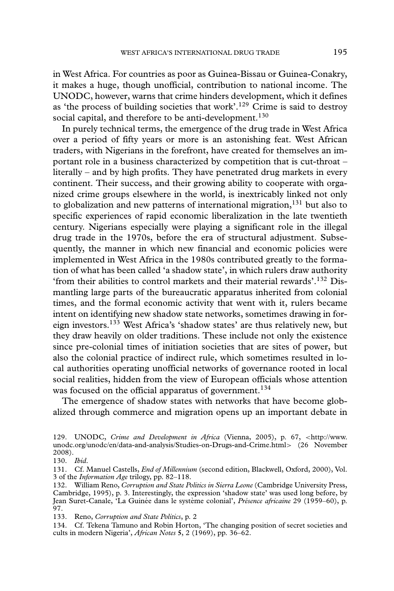in West Africa. For countries as poor as Guinea-Bissau or Guinea-Conakry, it makes a huge, though unofficial, contribution to national income. The UNODC, however, warns that crime hinders development, which it defines as 'the process of building societies that work'.<sup>129</sup> Crime is said to destroy social capital, and therefore to be anti-development.<sup>130</sup>

In purely technical terms, the emergence of the drug trade in West Africa over a period of fifty years or more is an astonishing feat. West African traders, with Nigerians in the forefront, have created for themselves an important role in a business characterized by competition that is cut-throat – literally – and by high profits. They have penetrated drug markets in every continent. Their success, and their growing ability to cooperate with organized crime groups elsewhere in the world, is inextricably linked not only to globalization and new patterns of international migration, $131$  but also to specific experiences of rapid economic liberalization in the late twentieth century. Nigerians especially were playing a significant role in the illegal drug trade in the 1970s, before the era of structural adjustment. Subsequently, the manner in which new financial and economic policies were implemented in West Africa in the 1980s contributed greatly to the formation of what has been called 'a shadow state', in which rulers draw authority 'from their abilities to control markets and their material rewards'.132 Dismantling large parts of the bureaucratic apparatus inherited from colonial times, and the formal economic activity that went with it, rulers became intent on identifying new shadow state networks, sometimes drawing in foreign investors.133 West Africa's 'shadow states' are thus relatively new, but they draw heavily on older traditions. These include not only the existence since pre-colonial times of initiation societies that are sites of power, but also the colonial practice of indirect rule, which sometimes resulted in local authorities operating unofficial networks of governance rooted in local social realities, hidden from the view of European officials whose attention was focused on the official apparatus of government.<sup>134</sup>

The emergence of shadow states with networks that have become globalized through commerce and migration opens up an important debate in

133. Reno, *Corruption and State Politics*, p. 2

134. Cf. Tekena Tamuno and Robin Horton, 'The changing position of secret societies and cults in modern Nigeria', *African Notes* **5**, 2 (1969), pp. 36–62.

<sup>129.</sup> UNODC, *Crime and Development in Africa* (Vienna, 2005), p. 67, <http://www. unodc.org/unodc/en/data-and-analysis/Studies-on-Drugs-and-Crime.html> (26 November 2008).

<sup>130.</sup> *Ibid*.

<sup>131.</sup> Cf. Manuel Castells, *End of Millennium* (second edition, Blackwell, Oxford, 2000), Vol. 3 of the *Information Age* trilogy, pp. 82–118.

<sup>132.</sup> William Reno, *Corruption and State Politics in Sierra Leone* (Cambridge University Press, Cambridge, 1995), p. 3. Interestingly, the expression 'shadow state' was used long before, by Jean Suret-Canale, <sup>*č*</sup>La Guinée dans le système colonial', *Présence africaine* 29 (1959–60), p. 97.